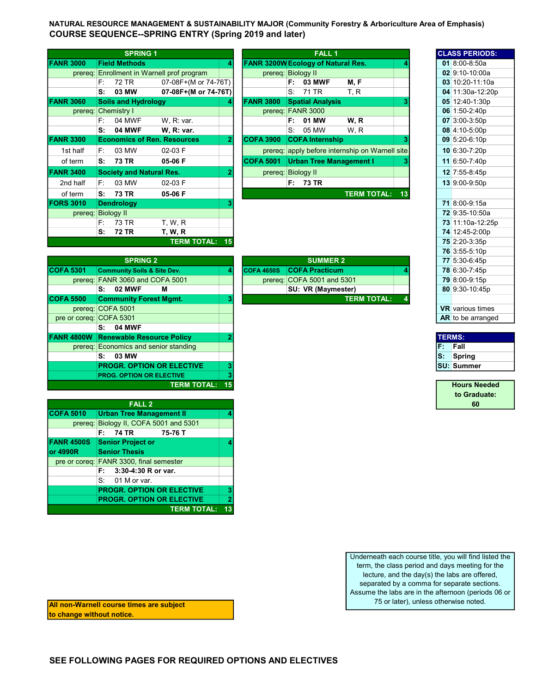NATURAL RESOURCE MANAGEMENT & SUSTAINABILITY MAJOR (Community Forestry & Arboriculture Area of Emphasis) COURSE SEQUENCE--SPRING ENTRY (Spring 2019 and later)

|                  |    | <b>SPRING 1</b>                    |                                    |                |                                           |             | <b>FALL1</b>            |                                                 |    | <b>CLASS PERIODS:</b> |
|------------------|----|------------------------------------|------------------------------------|----------------|-------------------------------------------|-------------|-------------------------|-------------------------------------------------|----|-----------------------|
| <b>FANR 3000</b> |    | <b>Field Methods</b>               |                                    | 4              | <b>FANR 3200W Ecology of Natural Res.</b> |             |                         |                                                 |    | 01 $8:00-8:50a$       |
| prereq:          |    |                                    | Enrollment in Warnell prof program |                | prereg: Biology II                        |             |                         |                                                 |    | 02 9:10-10:00a        |
|                  | F. | 72 TR                              | 07-08F+(M or 74-76T)               |                |                                           | F:          | <b>03 MWF</b>           | M, F                                            |    | 03 10:20-11:10a       |
|                  | s: | 03 MW                              | 07-08F+(M or 74-76T)               |                |                                           | S:          | 71 TR                   | T, R                                            |    | 04 11:30a-12:20p      |
| <b>FANR 3060</b> |    | <b>Soils and Hydrology</b>         |                                    | 4              | <b>FANR 3800</b>                          |             | <b>Spatial Analysis</b> |                                                 |    | 05 12:40-1:30p        |
| prereq:          |    | <b>Chemistry I</b>                 |                                    |                |                                           |             | prereq: FANR 3000       |                                                 |    | 06 1:50-2:40p         |
|                  | F: | 04 MWF                             | W.R: var.                          |                |                                           | F:          | 01 MW                   | W, R                                            |    | 07 3:00-3:50p         |
|                  | s: | <b>04 MWF</b>                      | <b>W. R: var.</b>                  |                |                                           | $S_{\cdot}$ | 05 MW                   | W.R                                             |    | 08 4:10-5:00p         |
| <b>FANR 3300</b> |    | <b>Economics of Ren. Resources</b> |                                    | $\overline{2}$ | <b>COFA 3900</b>                          |             | <b>COFA Internship</b>  |                                                 |    | 09 5:20-6:10p         |
| 1st half         | F: | 03 MW                              | 02-03 F                            |                |                                           |             |                         | prereq: apply before internship on Warnell site |    | $10 6:30-7:20p$       |
| of term          | S: | <b>73 TR</b>                       | 05-06 F                            |                | <b>COFA 5001</b>                          |             |                         | <b>Urban Tree Management I</b>                  |    | 11 6:50-7:40p         |
| <b>FANR 3400</b> |    | <b>Society and Natural Res.</b>    |                                    | 2              | prereq: Biology II                        |             |                         |                                                 |    | 12 7:55-8:45p         |
| 2nd half         | F: | 03 MW                              | 02-03 F                            |                |                                           |             | F: 73 TR                |                                                 |    | 13 9:00-9:50p         |
| of term          | s: | 73 TR                              | 05-06 F                            |                |                                           |             |                         | <b>TERM TOTAL:</b>                              | 13 |                       |
| <b>FORS 3010</b> |    | <b>Dendrology</b>                  |                                    |                |                                           |             |                         |                                                 |    | 71 8:00-9:15a         |
| prereq:          |    | <b>Biology II</b>                  |                                    |                |                                           |             |                         |                                                 |    | 72 9:35-10:50a        |
|                  | F: | 73 TR                              | T, W, R                            |                |                                           |             |                         |                                                 |    | 73 11:10a-12:25p      |
|                  | S: | <b>72 TR</b>                       | <b>T, W, R</b>                     |                |                                           |             |                         |                                                 |    | 74 12:45-2:00p        |
|                  |    |                                    | <b>TERM TOTAL: 15</b>              |                |                                           |             |                         |                                                 |    | 75 2:20-3:35p         |

|                |    | <b>SPRING 1</b>                    |                                            |   |                                           |      | <b>FALL 1</b>                  |                                                 |  | <b>CLASS PERIODS:</b>  |
|----------------|----|------------------------------------|--------------------------------------------|---|-------------------------------------------|------|--------------------------------|-------------------------------------------------|--|------------------------|
|                |    |                                    |                                            |   |                                           |      |                                |                                                 |  |                        |
| <b>NR 3000</b> |    | <b>Field Methods</b>               |                                            | 4 | <b>FANR 3200W Ecology of Natural Res.</b> |      |                                |                                                 |  | 01 $8:00 - 8:50a$      |
|                |    |                                    | prereg: Enrollment in Warnell prof program |   | prereg: Biology II                        |      |                                |                                                 |  | 02 9:10-10:00a         |
|                | F: | 72 TR                              | 07-08F+(M or 74-76T)                       |   |                                           | F:   | <b>03 MWF</b>                  | M, F                                            |  | 03 10:20-11:10a        |
|                | s: | 03 MW                              | 07-08F+(M or 74-76T)                       |   |                                           | S÷   | 71 TR                          | T, R                                            |  | 04 11:30a-12:20p       |
| <b>NR 3060</b> |    | <b>Soils and Hydrology</b>         |                                            |   | <b>FANR 3800</b>                          |      | <b>Spatial Analysis</b>        |                                                 |  | 05 12:40-1:30p         |
| prereq:        |    | <b>Chemistry I</b>                 |                                            |   | prereq: FANR 3000                         |      |                                |                                                 |  | 06 $1:50-2:40p$        |
|                | F: | 04 MWF                             | W, R: var.                                 |   |                                           | F:   | 01 MW                          | W.R                                             |  | $07 \,   3:00 - 3:50p$ |
|                | s: | <b>04 MWF</b>                      | W, R: var.                                 |   |                                           | S.   | 05 MW                          | W.R                                             |  | $08$ 4:10-5:00p        |
| <b>NR 3300</b> |    | <b>Economics of Ren. Resources</b> |                                            |   | <b>COFA 3900</b>                          |      | <b>COFA Internship</b>         |                                                 |  | 09 5:20-6:10p          |
| 1st half       | F: | 03 MW                              | $02-03$ F                                  |   |                                           |      |                                | prereq: apply before internship on Warnell site |  | 10 6:30-7:20p          |
| of term        | S: | 73 TR                              | 05-06 F                                    |   | <b>COFA 5001</b>                          |      | <b>Urban Tree Management I</b> |                                                 |  | 11 6:50-7:40p          |
| <b>NR 3400</b> |    | <b>Society and Natural Res.</b>    |                                            |   | prereq:                                   |      | <b>Biology II</b>              |                                                 |  | 12 7:55-8:45p          |
| 2nd half       | F: | 03 MW                              | 02-03 F                                    |   |                                           | F: I | 73 TR                          |                                                 |  | 13 9:00-9:50p          |
| of term        | s: | 73 TR                              | 05-06 F                                    |   |                                           |      |                                | <b>TERM TOTAL: 13</b>                           |  |                        |
| <b>RS 3010</b> |    | <b>Dendrology</b>                  |                                            |   |                                           |      |                                |                                                 |  | 71 8:00-9:15a          |
| prereq:        |    | <b>Biology II</b>                  |                                            |   |                                           |      |                                |                                                 |  | 72 9:35-10:50a         |
|                | F. | 73 TR                              | T WR                                       |   |                                           |      |                                |                                                 |  | $73$ 11:10a-12:25n     |

|                  |                                        |    |                                            |               | . <b>.</b>              |
|------------------|----------------------------------------|----|--------------------------------------------|---------------|-------------------------|
|                  | <b>SPRING 2</b>                        |    | <b>SUMMER 2</b>                            |               | 77 5:30-6:45p           |
| <b>COFA 5301</b> | <b>Community Soils &amp; Site Dev.</b> |    | <b>COFA Practicum</b><br><b>COFA 4650S</b> |               | 78 6:30-7:45p           |
|                  | prereq: FANR 3060 and COFA 5001        |    | prereq: COFA 5001 and 5301                 |               | 79 8:00-9:15p           |
|                  | <b>02 MWF</b><br>м<br>S:               |    | SU: VR (Maymester)                         |               | 80 9:30-10:45p          |
| <b>COFA 5500</b> | <b>Community Forest Mgmt.</b>          | 3  | <b>TERM TOTAL:</b>                         |               |                         |
|                  | prereq: COFA 5001                      |    |                                            |               | <b>VR</b> various times |
|                  | pre or coreg: COFA 5301                |    |                                            |               | AR to be arranged       |
|                  | <b>S: 04 MWF</b>                       |    |                                            |               |                         |
| FANR 4800W       | <b>Renewable Resource Policy</b>       |    |                                            | <b>TERMS:</b> |                         |
|                  | prereg: Economics and senior standing  |    |                                            | F.            | Fall                    |
|                  | 03 MW<br>S:                            |    |                                            | IS:           | Spring                  |
|                  | <b>PROGR. OPTION OR ELECTIVE</b>       | 3  |                                            |               | <b>SU: Summer</b>       |
|                  | <b>PROG. OPTION OR ELECTIVE</b>        |    |                                            |               |                         |
|                  | <b>TERM TOTAL:</b>                     | 15 |                                            |               | <b>Hours Needed</b>     |
|                  |                                        |    |                                            |               |                         |

|                   | <b>FALL 2</b>                           |                |  |  |  |  |  |
|-------------------|-----------------------------------------|----------------|--|--|--|--|--|
| <b>COFA 5010</b>  | <b>Urban Tree Management II</b>         |                |  |  |  |  |  |
|                   | prereq: Biology II, COFA 5001 and 5301  |                |  |  |  |  |  |
|                   | <b>F:</b> 74 TR<br>75-76 T              |                |  |  |  |  |  |
| <b>FANR 4500S</b> | <b>Senior Project or</b>                |                |  |  |  |  |  |
| or 4990R          | <b>Senior Thesis</b>                    |                |  |  |  |  |  |
|                   | pre or coreg: FANR 3300, final semester |                |  |  |  |  |  |
|                   | F: 3:30-4:30 R or var.                  |                |  |  |  |  |  |
|                   | S: 01 M or var.                         |                |  |  |  |  |  |
|                   | <b>PROGR. OPTION OR ELECTIVE</b>        | 3              |  |  |  |  |  |
|                   | <b>PROGR. OPTION OR ELECTIVE</b>        | $\overline{2}$ |  |  |  |  |  |
|                   | <b>TERM TOTAL:</b>                      | 13             |  |  |  |  |  |

|     | <b>SPRING Z</b>                        |  |                   | SUMMER 2                     |  | $11$ 5.30-0.450        |
|-----|----------------------------------------|--|-------------------|------------------------------|--|------------------------|
| 301 | <b>Community Soils &amp; Site Dev.</b> |  | <b>COFA 4650S</b> | <b>COFA Practicum</b>        |  | 78 6:30-7:45p          |
|     | prereg: FANR 3060 and COFA 5001        |  |                   | prereq: $COFA$ 5001 and 5301 |  | <b>79 8:00-9:15p</b>   |
|     | 02 MWF<br>м<br>s:                      |  |                   | <b>SU: VR (Maymester)</b>    |  | 80 9:30-10:45p         |
| 500 | <b>Community Forest Mgmt.</b>          |  |                   | <b>TERM TOTAL:</b>           |  |                        |
|     | prereg: ICOFA 5001                     |  |                   |                              |  | <b>VR</b> various time |

|                    |                |                   | <b>FALL 1</b>                      |                                                 |    | <b>CLASS PERIODS:</b>   |
|--------------------|----------------|-------------------|------------------------------------|-------------------------------------------------|----|-------------------------|
|                    | 4              |                   | FANR 3200W Ecology of Natural Res. |                                                 | 4  | 01 8:00-8:50a           |
| rof program        |                |                   | prereq: Biology II                 |                                                 |    | 02 9:10-10:00a          |
| -08F+(M or 74-76T) |                |                   | F:<br>03 MWF                       | M, F                                            |    | 03 10:20-11:10a         |
| -08F+(M or 74-76T) |                |                   | $S^{\cdot}$<br>71 TR               | T, R                                            |    | 04 11:30a-12:20p        |
|                    | 4              | <b>FANR 3800</b>  | <b>Spatial Analysis</b>            |                                                 | 3  | 05 12:40-1:30p          |
|                    |                |                   | prereq: FANR 3000                  |                                                 |    | 06 1:50-2:40p           |
| R: var.            |                |                   | 01 MW<br>F:                        | W.R                                             |    | 07 3:00-3:50p           |
| R: var.            |                |                   | 05 MW<br>S.                        | W, R                                            |    | 08 4:10-5:00p           |
| <b>sources</b>     | $\overline{2}$ | <b>COFA 3900</b>  | <b>COFA Internship</b>             |                                                 | 3  | 09 5:20-6:10p           |
| $-03 F$            |                |                   |                                    | prereq: apply before internship on Warnell site |    | 10 6:30-7:20p           |
| -06 F              |                | <b>COFA 5001</b>  | <b>Urban Tree Management I</b>     |                                                 |    | 11 6:50-7:40p           |
| es.                | 2              |                   | prereq: Biology II                 |                                                 |    | 12 7:55-8:45p           |
| $-03F$             |                |                   | F:<br><b>73 TR</b>                 |                                                 |    | 13 9:00-9:50p           |
| -06 F              |                |                   |                                    | <b>TERM TOTAL:</b>                              | 13 |                         |
|                    | 3              |                   |                                    |                                                 |    | 71 8:00-9:15a           |
|                    |                |                   |                                    |                                                 |    | 72 9:35-10:50a          |
| W.R                |                |                   |                                    |                                                 |    | 73 11:10a-12:25p        |
| W.R                |                |                   |                                    |                                                 |    | 74 12:45-2:00p          |
| <b>TERM TOTAL:</b> | 15             |                   |                                    |                                                 |    | 75 2:20-3:35p           |
|                    |                |                   |                                    |                                                 |    | 76 3:55-5:10p           |
|                    |                |                   | <b>SUMMER 2</b>                    |                                                 |    | 77 5:30-6:45p           |
| ev.                | 4              | <b>COFA 4650S</b> | <b>COFA Practicum</b>              |                                                 | 4  | 78 6:30-7:45p           |
| 5001               |                |                   | prereq: COFA 5001 and 5301         |                                                 |    | 79 8:00-9:15p           |
|                    |                |                   | SU: VR (Maymester)                 |                                                 |    | 80 9:30-10:45p          |
| ımt.               | 3              |                   |                                    | <b>TERM TOTAL:</b>                              | 4  |                         |
|                    |                |                   |                                    |                                                 |    | <b>VR</b> various times |
|                    |                |                   |                                    |                                                 |    | AR to be arranged       |

| <b>TERMS:</b> |                   |
|---------------|-------------------|
|               | Fall              |
|               | Spring            |
|               | <b>SU: Summer</b> |

| <b>Hours Needed</b> |
|---------------------|
| to Graduate:        |
| 60                  |

Underneath each course title, you will find listed the term, the class period and days meeting for the lecture, and the day(s) the labs are offered, separated by a comma for separate sections. Assume the labs are in the afternoon (periods 06 or 75 or later), unless otherwise noted.

All non-Warnell course times are subject to change without notice.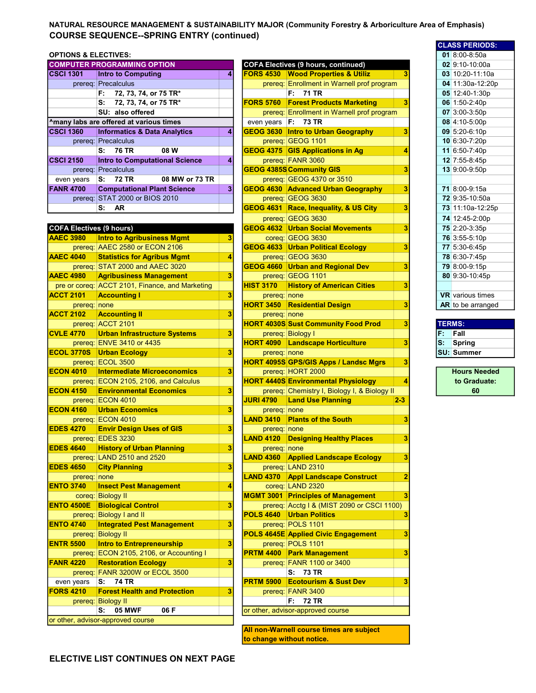## NATURAL RESOURCE MANAGEMENT & SUSTAINABILITY MAJOR (Community Forestry & Arboriculture Area of Emphasis) COURSE SEQUENCE--SPRING ENTRY (continued)

## **OPTIONS & ELECTIVES:**

|                  | <b>COMPUTER PROGRAMMING OPTION</b>      |   |                  | <b>COFA Electives (9 hours, continued)</b>       |  | $02$ 9:10-10:00a  |
|------------------|-----------------------------------------|---|------------------|--------------------------------------------------|--|-------------------|
| <b>CSCI 1301</b> | <b>Intro to Computing</b>               | 4 | <b>FORS 4530</b> | <b>Wood Properties &amp; Utiliz</b>              |  | $03 10:20-11:10a$ |
|                  | prereq: Precalculus                     |   |                  | prereq: Enrollment in Warnell prof program       |  | 04 11:30a-12:20   |
|                  | 72, 73, 74, or 75 TR*<br>F.             |   |                  | F: 71 TR                                         |  | 05 12:40-1:30p    |
|                  | 72, 73, 74, or 75 TR*<br>s:             |   | <b>FORS 5760</b> | <b>Forest Products Marketing</b>                 |  | 06 1:50-2:40p     |
|                  | SU: also offered                        |   |                  | prereq: Enrollment in Warnell prof program       |  | $07$ 3:00-3:50p   |
|                  | Amany labs are offered at various times |   | even years       | F: 73 TR                                         |  | 08 4:10-5:00p     |
| <b>CSCI 1360</b> | <b>Informatics &amp; Data Analytics</b> | 4 |                  | <b>GEOG 3630 Intro to Urban Geography</b>        |  | $09$ 5:20-6:10p   |
|                  | prereq: Precalculus                     |   |                  | prereg: GEOG 1101                                |  | 10 6:30-7:20p     |
|                  | S: 76 TR<br>08 W                        |   |                  | <b>GEOG 4375 GIS Applications in Ag</b>          |  | 11 6:50-7:40p     |
| <b>CSCI 2150</b> | <b>Intro to Computational Science</b>   | 4 |                  | prereq: FANR 3060                                |  | 12 7:55-8:45p     |
|                  | prereq: Precalculus                     |   |                  | <b>GEOG 4385S Community GIS</b>                  |  | 13 9:00-9:50p     |
| even years       | 08 MW or 73 TR<br>S: 72 TR              |   |                  | prereq: GEOG 4370 or 3510                        |  |                   |
| <b>FANR 4700</b> | <b>Computational Plant Science</b>      | 3 |                  | <b>GEOG 4630 Advanced Urban Geography</b>        |  | 71 8:00-9:15a     |
|                  | prereq: STAT 2000 or BIOS 2010          |   |                  | prereq: GEOG 3630                                |  | 72 9:35-10:50a    |
|                  | <b>AR</b><br>S:                         |   |                  | <b>GEOG 4631 Race, Inequality, &amp; US City</b> |  | 73 11:10a-12:25   |
|                  |                                         |   |                  |                                                  |  |                   |

## COFA Electives (9 hours)

| <b>AAEC 3980</b> |                   | <b>Intro to Agribusiness Mgmt</b>               | 3 |                  | coreg: GEOG 3630                                                                                                      |                |             | 76 3:55-5:10p           |
|------------------|-------------------|-------------------------------------------------|---|------------------|-----------------------------------------------------------------------------------------------------------------------|----------------|-------------|-------------------------|
|                  |                   | prereq: AAEC 2580 or ECON 2106                  |   |                  | <b>GEOG 4633 Urban Political Ecology</b>                                                                              | 3              |             | 77 5:30-6:45p           |
| <b>AAEC 4040</b> |                   | <b>Statistics for Agribus Mgmt</b>              | 4 |                  | prereg: GEOG 3630                                                                                                     |                |             | 78 6:30-7:45p           |
|                  |                   | prereq: STAT 2000 and AAEC 3020                 |   |                  | <b>GEOG 4660 Urban and Regional Dev</b>                                                                               | 3              |             | 79 8:00-9:15p           |
| <b>AAEC 4980</b> |                   | <b>Agribusiness Management</b>                  | 3 |                  | prereg: GEOG 1101                                                                                                     |                |             | 80 9:30-10:45p          |
|                  |                   | pre or coreq: ACCT 2101, Finance, and Marketing |   | <b>HIST 3170</b> | <b>History of American Cities</b>                                                                                     | 3              |             |                         |
| <b>ACCT 2101</b> |                   | <b>Accounting I</b>                             | 3 | prereq: none     |                                                                                                                       |                |             | <b>VR</b> various times |
|                  | prereq: none      |                                                 |   | <b>HORT 3450</b> | <b>Residential Design</b>                                                                                             | 3              |             | AR to be arrange        |
| <b>ACCT 2102</b> |                   | <b>Accounting II</b>                            | 3 | prereq: none     |                                                                                                                       |                |             |                         |
|                  |                   | prereq: ACCT 2101                               |   |                  | <b>HORT 4030S Sust Community Food Prod</b>                                                                            | 3              |             | <b>TERMS:</b>           |
| <b>CVLE 4770</b> |                   | <b>Urban Infrastructure Systems</b>             | 3 |                  | prereq: Biology I                                                                                                     |                | F.          | Fall                    |
|                  |                   | prereq: ENVE 3410 or 4435                       |   |                  | <b>HORT 4090 Landscape Horticulture</b>                                                                               | 3              | $S^{\perp}$ | Spring                  |
|                  |                   | <b>ECOL 3770S</b> Urban Ecology                 | 3 | prereq: none     |                                                                                                                       |                |             | <b>SU: Summer</b>       |
|                  |                   | prereq: ECOL 3500                               |   |                  | <b>HORT 4095S GPS/GIS Apps / Landsc Mgrs</b>                                                                          | 3              |             |                         |
| <b>ECON 4010</b> |                   | <b>Intermediate Microeconomics</b>              | 3 |                  | prereq: HORT 2000                                                                                                     |                |             | <b>Hours Neede</b>      |
|                  |                   | prereq: ECON 2105, 2106, and Calculus           |   |                  | <b>HORT 4440S Environmental Physiology</b>                                                                            | 4              |             | to Graduate             |
| <b>ECON 4150</b> |                   | <b>Environmental Economics</b>                  | 3 |                  | prereq: Chemistry I, Biology I, & Biology II                                                                          |                |             | 60                      |
|                  |                   | prereq: ECON 4010                               |   | <b>JURI 4790</b> | <b>Land Use Planning</b>                                                                                              | $2 - 3$        |             |                         |
| <b>ECON 4160</b> |                   | <b>Urban Economics</b>                          | 3 | prereq: none     |                                                                                                                       |                |             |                         |
|                  |                   | prereq: ECON 4010                               |   | <b>LAND 3410</b> | <b>Plants of the South</b>                                                                                            | 3              |             |                         |
| <b>EDES 4270</b> |                   | <b>Envir Design Uses of GIS</b>                 | 3 | prereq: none     |                                                                                                                       |                |             |                         |
|                  |                   | prereq: EDES 3230                               |   | <b>LAND 4120</b> | <b>Designing Healthy Places</b>                                                                                       | 3              |             |                         |
| <b>EDES 4640</b> |                   | <b>History of Urban Planning</b>                | 3 | prereq: none     |                                                                                                                       |                |             |                         |
|                  |                   | prereq: LAND 2510 and 2520                      |   | <b>LAND 4360</b> | <b>Applied Landscape Ecology</b>                                                                                      | 3              |             |                         |
| <b>EDES 4650</b> |                   | <b>City Planning</b>                            | 3 |                  | prereq: LAND 2310                                                                                                     |                |             |                         |
|                  | prereq: none      |                                                 |   | <b>LAND 4370</b> | <b>Appl Landscape Construct</b>                                                                                       | $\overline{2}$ |             |                         |
| <b>ENTO 3740</b> |                   | <b>Insect Pest Management</b>                   | 4 |                  | coreg: LAND 2320                                                                                                      |                |             |                         |
|                  |                   | coreq: Biology II                               |   |                  | <b>MGMT 3001 Principles of Management</b>                                                                             |                |             |                         |
|                  | <b>ENTO 4500E</b> | <b>Biological Control</b>                       | 3 |                  | prereq: Acctg I & (MIST 2090 or CSCI 1100)                                                                            |                |             |                         |
|                  |                   | prereq: Biology I and II                        |   | <b>POLS 4640</b> | <b>Urban Politics</b>                                                                                                 | 3              |             |                         |
| <b>ENTO 4740</b> |                   | <b>Integrated Pest Management</b>               | 3 |                  | prereq: POLS 1101                                                                                                     |                |             |                         |
|                  |                   | prereq: Biology II                              |   |                  | <b>POLS 4645E Applied Civic Engagement</b>                                                                            | 3              |             |                         |
| <b>ENTR 5500</b> |                   | <b>Intro to Entrepreneurship</b>                | 3 |                  | prereq: POLS 1101                                                                                                     |                |             |                         |
|                  |                   | prereq: ECON 2105, 2106, or Accounting I        |   | <b>PRTM 4400</b> | <b>Park Management</b>                                                                                                | 3              |             |                         |
| <b>FANR 4220</b> |                   | <b>Restoration Ecology</b>                      | 3 |                  | prereq: FANR 1100 or 3400                                                                                             |                |             |                         |
|                  |                   | prereq: FANR 3200W or ECOL 3500                 |   |                  | S: 73 TR                                                                                                              |                |             |                         |
|                  | even years        | 74 TR<br>lS:                                    |   | <b>PRTM 5900</b> | <b>Ecotourism &amp; Sust Dev</b>                                                                                      | 3              |             |                         |
| <b>FORS 4210</b> |                   | <b>Forest Health and Protection</b>             | 3 |                  | prereq: FANR 3400                                                                                                     |                |             |                         |
|                  |                   | prereq: Biology II                              |   |                  | F: I<br><b>72 TR</b>                                                                                                  |                |             |                         |
|                  |                   | <b>05 MWF</b><br>06 F<br>s:                     |   |                  | or other, advisor-approved course                                                                                     |                |             |                         |
|                  |                   | or other, advisor-approved course               |   |                  | <b>Allen and the state of the state of the state of the state of the state of the state of the state of the state</b> |                |             |                         |

|              | <b>IS &amp; ELECTIVES:</b>                         |   |                        |                                                   |    | 01 8:00-8:50a           |
|--------------|----------------------------------------------------|---|------------------------|---------------------------------------------------|----|-------------------------|
|              | <b>JTER PROGRAMMING OPTION</b>                     |   |                        | <b>COFA Electives (9 hours, continued)</b>        |    | 02 9:10-10:00a          |
| 301          | <b>Intro to Computing</b>                          | 4 |                        | <b>FORS 4530 Wood Properties &amp; Utiliz</b>     |    | $03 10:20-11:10a$       |
|              | prereq: Precalculus                                |   |                        | prereq: Enrollment in Warnell prof program        |    | 04 11:30a-12:20p        |
|              | 72, 73, 74, or 75 TR*<br>F:                        |   |                        | F: 71 TR                                          |    | 05 12:40-1:30p          |
|              | s:<br>72, 73, 74, or 75 TR*                        |   | <b>FORS 5760</b>       | <b>Forest Products Marketing</b><br>3             |    | 06 1:50-2:40p           |
|              | SU: also offered                                   |   |                        | prereq: Enrollment in Warnell prof program        |    | 07 3:00-3:50p           |
|              | labs are offered at various times                  |   | even years $ F: 73 TR$ |                                                   |    | 08 4:10-5:00p           |
| 360          | <b>Informatics &amp; Data Analytics</b>            | 4 |                        | 3<br>GEOG 3630 Intro to Urban Geography           |    | 09 5:20-6:10p           |
|              | prereq: Precalculus                                |   |                        | prereq: GEOG 1101                                 |    | 10 6:30-7:20p           |
|              | 08 W<br><b>76 TR</b><br>s:                         |   |                        | GEOG 4375 GIS Applications in Ag<br>4             |    | 11 6:50-7:40p           |
| 150          | <b>Intro to Computational Science</b>              | 4 |                        | prereq: FANR 3060                                 |    | 12 7:55-8:45p           |
|              |                                                    |   |                        | <b>GEOG 4385S Community GIS</b><br>3              |    | 13 9:00-9:50p           |
|              | prereq: Precalculus                                |   |                        |                                                   |    |                         |
| years        | 72 TR<br>08 MW or 73 TR<br>S:                      |   |                        | prereq: GEOG 4370 or 3510                         |    |                         |
| 700          | <b>Computational Plant Science</b>                 | 3 |                        | 3<br>GEOG 4630 Advanced Urban Geography           |    | 71 8:00-9:15a           |
|              | prereq: STAT 2000 or BIOS 2010                     |   |                        | prereq: GEOG 3630                                 |    | 72 9:35-10:50a          |
|              | s:<br><b>AR</b>                                    |   |                        | 3<br>GEOG 4631 Race, Inequality, & US City        |    | 73 11:10a-12:25p        |
|              |                                                    |   |                        | prereq: GEOG 3630                                 |    | 74 12:45-2:00p          |
|              | Electives (9 hours)                                |   |                        | 3<br><b>GEOG 4632   Urban Social Movements</b>    |    | 75 2:20-3:35p           |
| 980          | <b>Intro to Agribusiness Mgmt</b>                  | 3 |                        | coreg: GEOG 3630                                  |    | 76 3:55-5:10p           |
|              | prereq: AAEC 2580 or ECON 2106                     |   |                        | <b>GEOG 4633 Urban Political Ecology</b><br>3     |    | 77 5:30-6:45p           |
| 040          | <b>Statistics for Agribus Mgmt</b>                 | 4 |                        | prereq: GEOG 3630                                 |    | 78 6:30-7:45p           |
|              | prereq: STAT 2000 and AAEC 3020                    |   |                        | GEOG 4660 Urban and Regional Dev<br>3             |    | 79 8:00-9:15p           |
| 980          | <b>Agribusiness Management</b>                     | 3 |                        | prereq: GEOG 1101                                 |    | 80 9:30-10:45p          |
|              | coreq: ACCT 2101, Finance, and Marketing           |   | <b>HIST 3170</b>       | <b>History of American Cities</b><br>3            |    |                         |
| 101          | <b>Accounting I</b>                                | 3 | prereq:   none         |                                                   |    | <b>VR</b> various times |
| prereq: none |                                                    |   |                        | <b>HORT 3450 Residential Design</b><br>3          |    | AR to be arranged       |
| 102          | <b>Accounting II</b>                               | 3 | prereq: none           |                                                   |    |                         |
|              | prereq: ACCT 2101                                  |   |                        | <b>HORT 4030S Sust Community Food Prod</b><br>3   |    | <b>TERMS:</b>           |
| 770          | <b>Urban Infrastructure Systems</b>                | 3 |                        | prereq: Biology I                                 | F. | Fall                    |
|              | prereq: ENVE 3410 or 4435                          |   | <b>HORT 4090</b>       | <b>Landscape Horticulture</b><br>3                | s: | <b>Spring</b>           |
| <b>770S</b>  | <b>Urban Ecology</b>                               | 3 | prereq: none           |                                                   |    | <b>SU: Summer</b>       |
|              | prereq: ECOL 3500                                  |   |                        | <b>HORT 4095S GPS/GIS Apps / Landsc Mgrs</b><br>3 |    |                         |
| 1010         | <b>Intermediate Microeconomics</b>                 | 3 |                        | prereq: HORT 2000                                 |    | <b>Hours Needed</b>     |
|              | prereq: ECON 2105, 2106, and Calculus              |   |                        | <b>HORT 4440S Environmental Physiology</b><br>4   |    | to Graduate:            |
| 1150         | <b>Environmental Economics</b>                     | 3 |                        | prereq: Chemistry I, Biology I, & Biology II      |    | 60                      |
|              | prereq: ECON 4010                                  |   | <b>JURI 4790</b>       | <b>Land Use Planning</b><br>$2 - 3$               |    |                         |
| 1160         | <b>Urban Economics</b>                             | 3 | prereq: none           |                                                   |    |                         |
|              | prereq: ECON 4010                                  |   | <b>LAND 3410</b>       | <b>Plants of the South</b><br>3                   |    |                         |
| 270          | <b>Envir Design Uses of GIS</b>                    | 3 | prereq: none           |                                                   |    |                         |
|              | prereq: EDES 3230                                  |   |                        | 3<br><b>LAND 4120 Designing Healthy Places</b>    |    |                         |
|              |                                                    | 3 |                        |                                                   |    |                         |
| 640          | <b>History of Urban Planning</b>                   |   | prereq: none           | <b>LAND 4360 Applied Landscape Ecology</b><br>3   |    |                         |
| 650          | prereq: LAND 2510 and 2520<br><b>City Planning</b> | 3 |                        | prereq: LAND 2310                                 |    |                         |
|              |                                                    |   |                        | $\overline{2}$                                    |    |                         |
| prereq: none |                                                    |   |                        | <b>LAND 4370 Appl Landscape Construct</b>         |    |                         |
| 740ء         | <b>Insect Pest Management</b>                      | 4 |                        | coreq: LAND 2320                                  |    |                         |
|              | coreg: Biology II                                  |   |                        | <b>MGMT 3001 Principles of Management</b><br>3    |    |                         |
| 500E         | <b>Biological Control</b>                          | 3 |                        | prereq: Acctg I & (MIST 2090 or CSCI 1100)        |    |                         |
|              | prereq: Biology I and II                           |   |                        | <b>POLS 4640 Urban Politics</b><br>3              |    |                         |
| 1740         | <b>Integrated Pest Management</b>                  | 3 |                        | prereq: POLS 1101                                 |    |                         |
|              | prereq: Biology II                                 |   |                        | <b>POLS 4645E Applied Civic Engagement</b><br>3   |    |                         |
| 500          | <b>Intro to Entrepreneurship</b>                   | 3 |                        | prereq: POLS 1101                                 |    |                         |
|              | prereq: ECON 2105, 2106, or Accounting I           |   |                        | 3<br><b>PRTM 4400 Park Management</b>             |    |                         |
| 220          | <b>Restoration Ecology</b>                         | 3 |                        | prereq: FANR 1100 or 3400                         |    |                         |
|              | prereq: FANR 3200W or ECOL 3500                    |   |                        | S: 73 TR                                          |    |                         |
| years        | S:<br>74 TR                                        |   | <b>PRTM 5900</b>       | 3<br><b>Ecotourism &amp; Sust Dev</b>             |    |                         |
| <b>210</b>   | <b>Forest Health and Protection</b>                | 3 |                        | prereq: FANR 3400                                 |    |                         |
|              | prereq: Biology II                                 |   |                        | F: 72 TR                                          |    |                         |
|              | <b>05 MWF</b><br>06 F<br>s:                        |   |                        | or other, advisor-approved course                 |    |                         |

All non-Warnell course times are subject to change without notice.

| <b>CLASS PERIODS:</b>   |  |  |  |  |  |  |  |
|-------------------------|--|--|--|--|--|--|--|
| $018:00-8:50a$          |  |  |  |  |  |  |  |
| 02 9:10-10:00a          |  |  |  |  |  |  |  |
| 03 10:20-11:10a         |  |  |  |  |  |  |  |
| 04 11:30a-12:20p        |  |  |  |  |  |  |  |
| 05 12:40-1:30p          |  |  |  |  |  |  |  |
| 06 1:50-2:40p           |  |  |  |  |  |  |  |
| 07 3:00-3:50p           |  |  |  |  |  |  |  |
| 08 4:10-5:00p           |  |  |  |  |  |  |  |
| 09 5:20-6:10p           |  |  |  |  |  |  |  |
| 10 6:30-7:20p           |  |  |  |  |  |  |  |
| 11 6:50-7:40p           |  |  |  |  |  |  |  |
| 12 7:55-8:45p           |  |  |  |  |  |  |  |
| 13 9:00-9:50p           |  |  |  |  |  |  |  |
|                         |  |  |  |  |  |  |  |
| 71 8:00-9:15a           |  |  |  |  |  |  |  |
| <b>72</b> 9:35-10:50a   |  |  |  |  |  |  |  |
| 73 11:10a-12:25p        |  |  |  |  |  |  |  |
| 74 12:45-2:00p          |  |  |  |  |  |  |  |
| 75 2:20-3:35p           |  |  |  |  |  |  |  |
| 76 3:55-5:10p           |  |  |  |  |  |  |  |
| 77 5:30-6:45p           |  |  |  |  |  |  |  |
| 78 6:30-7:45p           |  |  |  |  |  |  |  |
| 79 8:00-9:15p           |  |  |  |  |  |  |  |
| 80 9:30-10:45p          |  |  |  |  |  |  |  |
|                         |  |  |  |  |  |  |  |
| <b>VR</b> various times |  |  |  |  |  |  |  |
| AR to be arranged       |  |  |  |  |  |  |  |

| <b>TERMS:</b> |                   |  |  |  |  |
|---------------|-------------------|--|--|--|--|
| IF.           | Fall              |  |  |  |  |
| ls:           | Spring            |  |  |  |  |
|               | <b>SU: Summer</b> |  |  |  |  |

Hours Needed to Graduate: 60